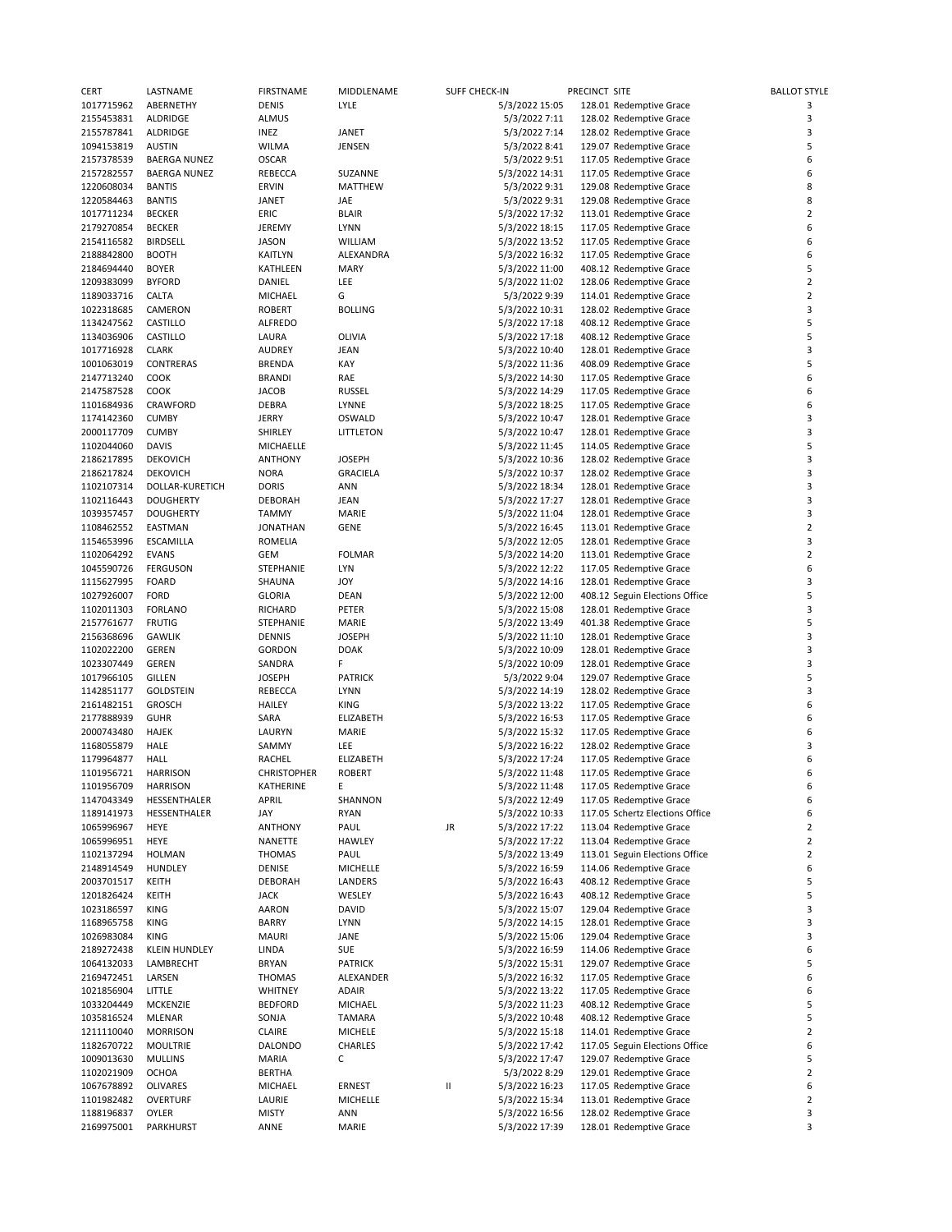| CERT                     | LASTNAME                        | <b>FIRSTNAME</b>            | MIDDLENAME      |                                       | <b>SUFF CHECK-IN</b>             | PRECINCT SITE |                                                    | <b>BALLOT STYLE</b> |
|--------------------------|---------------------------------|-----------------------------|-----------------|---------------------------------------|----------------------------------|---------------|----------------------------------------------------|---------------------|
| 1017715962               | ABERNETHY                       | <b>DENIS</b>                | LYLE            |                                       | 5/3/2022 15:05                   |               | 128.01 Redemptive Grace                            | 3                   |
| 2155453831               | ALDRIDGE                        | <b>ALMUS</b>                |                 |                                       | 5/3/2022 7:11                    |               | 128.02 Redemptive Grace                            | 3                   |
| 2155787841               | ALDRIDGE                        | INEZ                        | JANET           |                                       | 5/3/2022 7:14                    |               | 128.02 Redemptive Grace                            | 3                   |
| 1094153819               | <b>AUSTIN</b>                   | <b>WILMA</b>                | JENSEN          |                                       | 5/3/2022 8:41                    |               | 129.07 Redemptive Grace                            | 5                   |
| 2157378539               | <b>BAERGA NUNEZ</b>             | <b>OSCAR</b>                |                 |                                       | 5/3/2022 9:51                    |               | 117.05 Redemptive Grace                            | 6                   |
| 2157282557               | <b>BAERGA NUNEZ</b>             | REBECCA                     | SUZANNE         |                                       | 5/3/2022 14:31                   |               | 117.05 Redemptive Grace                            | 6                   |
| 1220608034               | <b>BANTIS</b>                   | <b>ERVIN</b>                | MATTHEW         |                                       | 5/3/2022 9:31                    |               | 129.08 Redemptive Grace                            | 8                   |
| 1220584463               | <b>BANTIS</b>                   | JANET                       | JAE             |                                       | 5/3/2022 9:31                    |               | 129.08 Redemptive Grace                            | 8                   |
| 1017711234               | <b>BECKER</b>                   | ERIC                        | <b>BLAIR</b>    |                                       | 5/3/2022 17:32                   |               | 113.01 Redemptive Grace                            | $\overline{2}$      |
| 2179270854               | <b>BECKER</b>                   | JEREMY                      | LYNN            |                                       | 5/3/2022 18:15                   |               | 117.05 Redemptive Grace                            | 6                   |
| 2154116582               | <b>BIRDSELL</b>                 | <b>JASON</b>                | WILLIAM         |                                       | 5/3/2022 13:52                   |               | 117.05 Redemptive Grace                            | 6                   |
| 2188842800               | <b>BOOTH</b>                    | <b>KAITLYN</b>              | ALEXANDRA       |                                       | 5/3/2022 16:32                   |               | 117.05 Redemptive Grace                            | 6                   |
| 2184694440               | <b>BOYER</b>                    | KATHLEEN                    | <b>MARY</b>     |                                       | 5/3/2022 11:00                   |               | 408.12 Redemptive Grace                            | 5                   |
| 1209383099               | <b>BYFORD</b>                   | DANIEL                      | LEE             |                                       | 5/3/2022 11:02                   |               | 128.06 Redemptive Grace                            | $\overline{2}$      |
| 1189033716               | CALTA                           | MICHAEL                     | G               |                                       | 5/3/2022 9:39                    |               | 114.01 Redemptive Grace                            | $\overline{2}$      |
| 1022318685               | CAMERON                         | <b>ROBERT</b>               | <b>BOLLING</b>  |                                       | 5/3/2022 10:31                   |               | 128.02 Redemptive Grace                            | 3                   |
| 1134247562               | CASTILLO                        | ALFREDO                     |                 |                                       | 5/3/2022 17:18                   |               | 408.12 Redemptive Grace                            | 5                   |
| 1134036906               | CASTILLO                        | LAURA                       | OLIVIA          |                                       | 5/3/2022 17:18                   |               | 408.12 Redemptive Grace                            | 5                   |
| 1017716928               | <b>CLARK</b>                    | <b>AUDREY</b>               | JEAN            |                                       | 5/3/2022 10:40                   |               | 128.01 Redemptive Grace                            | 3                   |
| 1001063019               | CONTRERAS                       | <b>BRENDA</b>               | KAY             |                                       | 5/3/2022 11:36                   |               | 408.09 Redemptive Grace                            | 5                   |
| 2147713240               | <b>COOK</b>                     | <b>BRANDI</b>               | RAE             |                                       | 5/3/2022 14:30                   |               | 117.05 Redemptive Grace                            | 6                   |
| 2147587528               | COOK                            | <b>JACOB</b>                | <b>RUSSEL</b>   |                                       | 5/3/2022 14:29                   |               | 117.05 Redemptive Grace                            | 6                   |
| 1101684936               | CRAWFORD                        | DEBRA                       | LYNNE           |                                       | 5/3/2022 18:25                   |               | 117.05 Redemptive Grace                            | 6                   |
| 1174142360               | <b>CUMBY</b>                    | <b>JERRY</b>                | OSWALD          |                                       | 5/3/2022 10:47                   |               | 128.01 Redemptive Grace                            | 3                   |
| 2000117709               | <b>CUMBY</b>                    | SHIRLEY                     | LITTLETON       |                                       | 5/3/2022 10:47                   |               | 128.01 Redemptive Grace                            | 3                   |
| 1102044060               | <b>DAVIS</b>                    | MICHAELLE                   |                 |                                       | 5/3/2022 11:45                   |               | 114.05 Redemptive Grace                            | 5                   |
| 2186217895               | <b>DEKOVICH</b>                 | <b>ANTHONY</b>              | <b>JOSEPH</b>   |                                       | 5/3/2022 10:36                   |               | 128.02 Redemptive Grace                            | 3                   |
| 2186217824               | <b>DEKOVICH</b>                 | <b>NORA</b>                 | <b>GRACIELA</b> |                                       | 5/3/2022 10:37                   |               | 128.02 Redemptive Grace                            | 3                   |
| 1102107314               | DOLLAR-KURETICH                 | <b>DORIS</b>                | ANN             |                                       | 5/3/2022 18:34                   |               | 128.01 Redemptive Grace                            | 3                   |
| 1102116443               | <b>DOUGHERTY</b>                | <b>DEBORAH</b>              | JEAN            |                                       | 5/3/2022 17:27                   |               | 128.01 Redemptive Grace                            | 3                   |
| 1039357457               | <b>DOUGHERTY</b>                | <b>TAMMY</b>                | MARIE           |                                       | 5/3/2022 11:04                   |               | 128.01 Redemptive Grace                            | 3                   |
| 1108462552               | <b>EASTMAN</b>                  | <b>JONATHAN</b>             | <b>GENE</b>     |                                       | 5/3/2022 16:45                   |               | 113.01 Redemptive Grace                            | $\overline{2}$      |
| 1154653996               | ESCAMILLA                       | <b>ROMELIA</b>              |                 |                                       | 5/3/2022 12:05                   |               | 128.01 Redemptive Grace                            | 3                   |
| 1102064292               | <b>EVANS</b>                    | <b>GEM</b>                  | <b>FOLMAR</b>   |                                       | 5/3/2022 14:20                   |               | 113.01 Redemptive Grace                            | $\overline{2}$      |
| 1045590726               | <b>FERGUSON</b>                 | STEPHANIE                   | <b>LYN</b>      |                                       | 5/3/2022 12:22                   |               | 117.05 Redemptive Grace                            | 6                   |
| 1115627995               | <b>FOARD</b>                    | SHAUNA                      | <b>JOY</b>      |                                       | 5/3/2022 14:16                   |               | 128.01 Redemptive Grace                            | 3                   |
| 1027926007               | <b>FORD</b>                     | <b>GLORIA</b>               | DEAN            |                                       | 5/3/2022 12:00                   |               | 408.12 Seguin Elections Office                     | 5<br>3              |
| 1102011303<br>2157761677 | <b>FORLANO</b><br><b>FRUTIG</b> | <b>RICHARD</b><br>STEPHANIE | PETER<br>MARIE  |                                       | 5/3/2022 15:08                   |               | 128.01 Redemptive Grace<br>401.38 Redemptive Grace | 5                   |
| 2156368696               | <b>GAWLIK</b>                   | <b>DENNIS</b>               | <b>JOSEPH</b>   |                                       | 5/3/2022 13:49<br>5/3/2022 11:10 |               | 128.01 Redemptive Grace                            | 3                   |
| 1102022200               | <b>GEREN</b>                    | <b>GORDON</b>               | <b>DOAK</b>     |                                       | 5/3/2022 10:09                   |               | 128.01 Redemptive Grace                            | 3                   |
| 1023307449               | GEREN                           | SANDRA                      | F               |                                       | 5/3/2022 10:09                   |               | 128.01 Redemptive Grace                            | 3                   |
| 1017966105               | <b>GILLEN</b>                   | <b>JOSEPH</b>               | <b>PATRICK</b>  |                                       | 5/3/2022 9:04                    |               | 129.07 Redemptive Grace                            | 5                   |
| 1142851177               | GOLDSTEIN                       | REBECCA                     | <b>LYNN</b>     |                                       | 5/3/2022 14:19                   |               | 128.02 Redemptive Grace                            | 3                   |
| 2161482151               | <b>GROSCH</b>                   | <b>HAILEY</b>               | <b>KING</b>     |                                       | 5/3/2022 13:22                   |               | 117.05 Redemptive Grace                            | 6                   |
| 2177888939               | <b>GUHR</b>                     | SARA                        | ELIZABETH       |                                       | 5/3/2022 16:53                   |               | 117.05 Redemptive Grace                            | 6                   |
| 2000743480               | <b>HAJEK</b>                    | LAURYN                      | MARIE           |                                       | 5/3/2022 15:32                   |               | 117.05 Redemptive Grace                            | 6                   |
| 1168055879               | HALE                            | SAMMY                       | LEE             |                                       | 5/3/2022 16:22                   |               | 128.02 Redemptive Grace                            | 3                   |
| 1179964877               | <b>HALL</b>                     | RACHEL                      | ELIZABETH       |                                       | 5/3/2022 17:24                   |               | 117.05 Redemptive Grace                            | 6                   |
| 1101956721               | <b>HARRISON</b>                 | <b>CHRISTOPHER</b>          | <b>ROBERT</b>   |                                       | 5/3/2022 11:48                   |               | 117.05 Redemptive Grace                            | 6                   |
| 1101956709               | <b>HARRISON</b>                 | KATHERINE                   | Ε               |                                       | 5/3/2022 11:48                   |               | 117.05 Redemptive Grace                            | 6                   |
| 1147043349               | HESSENTHALER                    | APRIL                       | SHANNON         |                                       | 5/3/2022 12:49                   |               | 117.05 Redemptive Grace                            | 6                   |
| 1189141973               | HESSENTHALER                    | JAY                         | <b>RYAN</b>     |                                       | 5/3/2022 10:33                   |               | 117.05 Schertz Elections Office                    | 6                   |
| 1065996967               | HEYE                            | <b>ANTHONY</b>              | PAUL            | JR                                    | 5/3/2022 17:22                   |               | 113.04 Redemptive Grace                            | $\overline{2}$      |
| 1065996951               | HEYE                            | NANETTE                     | HAWLEY          |                                       | 5/3/2022 17:22                   |               | 113.04 Redemptive Grace                            | $\overline{2}$      |
| 1102137294               | HOLMAN                          | <b>THOMAS</b>               | PAUL            |                                       | 5/3/2022 13:49                   |               | 113.01 Seguin Elections Office                     | $\overline{2}$      |
| 2148914549               | HUNDLEY                         | DENISE                      | MICHELLE        |                                       | 5/3/2022 16:59                   |               | 114.06 Redemptive Grace                            | 6                   |
| 2003701517               | KEITH                           | <b>DEBORAH</b>              | LANDERS         |                                       | 5/3/2022 16:43                   |               | 408.12 Redemptive Grace                            | 5                   |
| 1201826424               | KEITH                           | <b>JACK</b>                 | WESLEY          |                                       | 5/3/2022 16:43                   |               | 408.12 Redemptive Grace                            | 5                   |
| 1023186597               | KING                            | AARON                       | DAVID           |                                       | 5/3/2022 15:07                   |               | 129.04 Redemptive Grace                            | 3                   |
| 1168965758               | KING                            | <b>BARRY</b>                | LYNN            |                                       | 5/3/2022 14:15                   |               | 128.01 Redemptive Grace                            | 3                   |
| 1026983084               | KING                            | <b>MAURI</b>                | JANE            |                                       | 5/3/2022 15:06                   |               | 129.04 Redemptive Grace                            | 3                   |
| 2189272438               | KLEIN HUNDLEY                   | LINDA                       | SUE             |                                       | 5/3/2022 16:59                   |               | 114.06 Redemptive Grace                            | 6                   |
| 1064132033               | LAMBRECHT                       | <b>BRYAN</b>                | PATRICK         |                                       | 5/3/2022 15:31                   |               | 129.07 Redemptive Grace                            | 5                   |
| 2169472451               | LARSEN                          | <b>THOMAS</b>               | ALEXANDER       |                                       | 5/3/2022 16:32                   |               | 117.05 Redemptive Grace                            | 6                   |
| 1021856904               | LITTLE                          | <b>WHITNEY</b>              | ADAIR           |                                       | 5/3/2022 13:22                   |               | 117.05 Redemptive Grace                            | 6                   |
| 1033204449               | MCKENZIE                        | <b>BEDFORD</b>              | MICHAEL         |                                       | 5/3/2022 11:23                   |               | 408.12 Redemptive Grace                            | 5                   |
| 1035816524               | MLENAR                          | SONJA                       | TAMARA          |                                       | 5/3/2022 10:48                   |               | 408.12 Redemptive Grace                            | 5                   |
| 1211110040               | <b>MORRISON</b>                 | CLAIRE                      | MICHELE         |                                       | 5/3/2022 15:18                   |               | 114.01 Redemptive Grace                            | $\overline{2}$      |
| 1182670722               | <b>MOULTRIE</b>                 | <b>DALONDO</b>              | CHARLES         |                                       | 5/3/2022 17:42                   |               | 117.05 Seguin Elections Office                     | 6                   |
| 1009013630               | <b>MULLINS</b>                  | MARIA                       | С               |                                       | 5/3/2022 17:47                   |               | 129.07 Redemptive Grace                            | 5                   |
| 1102021909               | <b>OCHOA</b>                    | <b>BERTHA</b>               |                 |                                       | 5/3/2022 8:29                    |               | 129.01 Redemptive Grace                            | $\overline{2}$      |
| 1067678892               | OLIVARES                        | MICHAEL                     | ERNEST          | $\begin{array}{c} \hline \end{array}$ | 5/3/2022 16:23                   |               | 117.05 Redemptive Grace                            | 6                   |
| 1101982482               | OVERTURF                        | LAURIE                      | MICHELLE        |                                       | 5/3/2022 15:34                   |               | 113.01 Redemptive Grace                            | $\overline{2}$      |
| 1188196837               | OYLER                           | <b>MISTY</b>                | ANN             |                                       | 5/3/2022 16:56                   |               | 128.02 Redemptive Grace                            | 3                   |
| 2169975001               | PARKHURST                       | ANNE                        | MARIE           |                                       | 5/3/2022 17:39                   |               | 128.01 Redemptive Grace                            | 3                   |